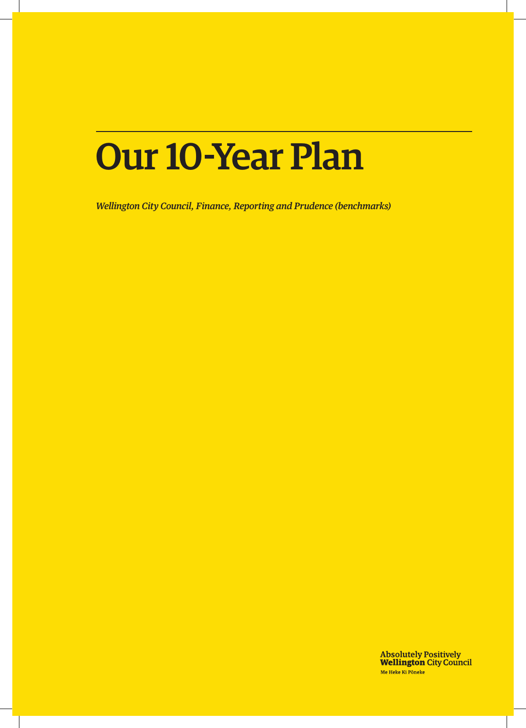# Our 10-Year Plan

*Wellington City Council, Finance, Reporting and Prudence (benchmarks)*

**Absolutely Positively<br>Wellington City Council** Me Heke Ki Pôneke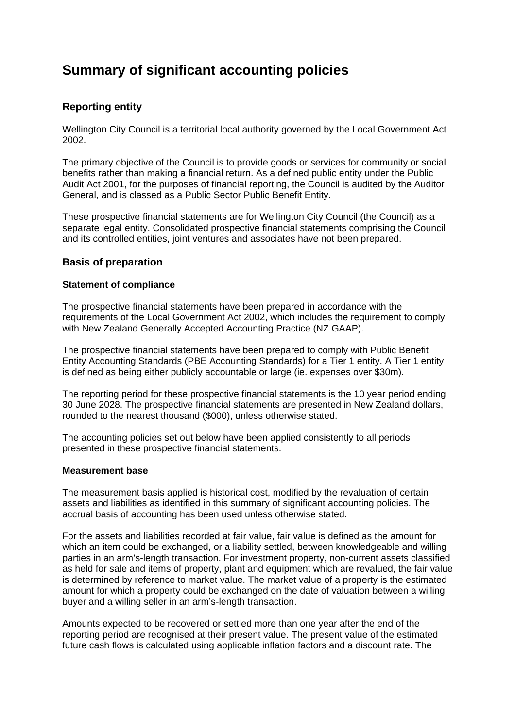## **Summary of significant accounting policies**

## **Reporting entity**

Wellington City Council is a territorial local authority governed by the Local Government Act 2002.

The primary objective of the Council is to provide goods or services for community or social benefits rather than making a financial return. As a defined public entity under the Public Audit Act 2001, for the purposes of financial reporting, the Council is audited by the Auditor General, and is classed as a Public Sector Public Benefit Entity.

These prospective financial statements are for Wellington City Council (the Council) as a separate legal entity. Consolidated prospective financial statements comprising the Council and its controlled entities, joint ventures and associates have not been prepared.

## **Basis of preparation**

## **Statement of compliance**

The prospective financial statements have been prepared in accordance with the requirements of the Local Government Act 2002, which includes the requirement to comply with New Zealand Generally Accepted Accounting Practice (NZ GAAP).

The prospective financial statements have been prepared to comply with Public Benefit Entity Accounting Standards (PBE Accounting Standards) for a Tier 1 entity. A Tier 1 entity is defined as being either publicly accountable or large (ie. expenses over \$30m).

The reporting period for these prospective financial statements is the 10 year period ending 30 June 2028. The prospective financial statements are presented in New Zealand dollars, rounded to the nearest thousand (\$000), unless otherwise stated.

The accounting policies set out below have been applied consistently to all periods presented in these prospective financial statements.

## **Measurement base**

The measurement basis applied is historical cost, modified by the revaluation of certain assets and liabilities as identified in this summary of significant accounting policies. The accrual basis of accounting has been used unless otherwise stated.

For the assets and liabilities recorded at fair value, fair value is defined as the amount for which an item could be exchanged, or a liability settled, between knowledgeable and willing parties in an arm's-length transaction. For investment property, non-current assets classified as held for sale and items of property, plant and equipment which are revalued, the fair value is determined by reference to market value. The market value of a property is the estimated amount for which a property could be exchanged on the date of valuation between a willing buyer and a willing seller in an arm's-length transaction.

Amounts expected to be recovered or settled more than one year after the end of the reporting period are recognised at their present value. The present value of the estimated future cash flows is calculated using applicable inflation factors and a discount rate. The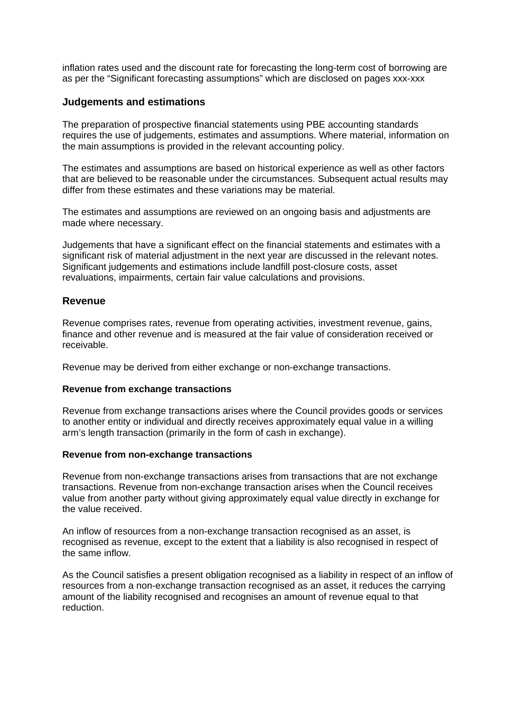inflation rates used and the discount rate for forecasting the long-term cost of borrowing are as per the "Significant forecasting assumptions" which are disclosed on pages xxx-xxx

## **Judgements and estimations**

The preparation of prospective financial statements using PBE accounting standards requires the use of judgements, estimates and assumptions. Where material, information on the main assumptions is provided in the relevant accounting policy.

The estimates and assumptions are based on historical experience as well as other factors that are believed to be reasonable under the circumstances. Subsequent actual results may differ from these estimates and these variations may be material.

The estimates and assumptions are reviewed on an ongoing basis and adjustments are made where necessary.

Judgements that have a significant effect on the financial statements and estimates with a significant risk of material adjustment in the next year are discussed in the relevant notes. Significant judgements and estimations include landfill post-closure costs, asset revaluations, impairments, certain fair value calculations and provisions.

## **Revenue**

Revenue comprises rates, revenue from operating activities, investment revenue, gains, finance and other revenue and is measured at the fair value of consideration received or receivable.

Revenue may be derived from either exchange or non-exchange transactions.

## **Revenue from exchange transactions**

Revenue from exchange transactions arises where the Council provides goods or services to another entity or individual and directly receives approximately equal value in a willing arm's length transaction (primarily in the form of cash in exchange).

## **Revenue from non-exchange transactions**

Revenue from non-exchange transactions arises from transactions that are not exchange transactions. Revenue from non-exchange transaction arises when the Council receives value from another party without giving approximately equal value directly in exchange for the value received.

An inflow of resources from a non-exchange transaction recognised as an asset, is recognised as revenue, except to the extent that a liability is also recognised in respect of the same inflow.

As the Council satisfies a present obligation recognised as a liability in respect of an inflow of resources from a non-exchange transaction recognised as an asset, it reduces the carrying amount of the liability recognised and recognises an amount of revenue equal to that reduction.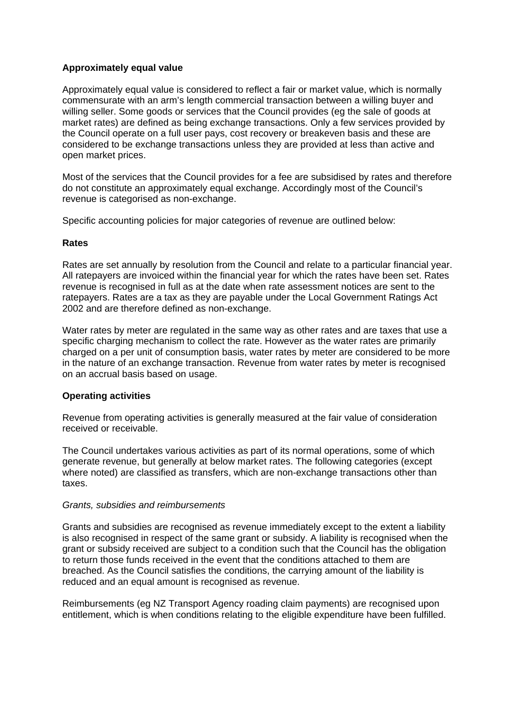## **Approximately equal value**

Approximately equal value is considered to reflect a fair or market value, which is normally commensurate with an arm's length commercial transaction between a willing buyer and willing seller. Some goods or services that the Council provides (eg the sale of goods at market rates) are defined as being exchange transactions. Only a few services provided by the Council operate on a full user pays, cost recovery or breakeven basis and these are considered to be exchange transactions unless they are provided at less than active and open market prices.

Most of the services that the Council provides for a fee are subsidised by rates and therefore do not constitute an approximately equal exchange. Accordingly most of the Council's revenue is categorised as non-exchange.

Specific accounting policies for major categories of revenue are outlined below:

## **Rates**

Rates are set annually by resolution from the Council and relate to a particular financial year. All ratepayers are invoiced within the financial year for which the rates have been set. Rates revenue is recognised in full as at the date when rate assessment notices are sent to the ratepayers. Rates are a tax as they are payable under the Local Government Ratings Act 2002 and are therefore defined as non-exchange.

Water rates by meter are regulated in the same way as other rates and are taxes that use a specific charging mechanism to collect the rate. However as the water rates are primarily charged on a per unit of consumption basis, water rates by meter are considered to be more in the nature of an exchange transaction. Revenue from water rates by meter is recognised on an accrual basis based on usage.

## **Operating activities**

Revenue from operating activities is generally measured at the fair value of consideration received or receivable.

The Council undertakes various activities as part of its normal operations, some of which generate revenue, but generally at below market rates. The following categories (except where noted) are classified as transfers, which are non-exchange transactions other than taxes.

## *Grants, subsidies and reimbursements*

Grants and subsidies are recognised as revenue immediately except to the extent a liability is also recognised in respect of the same grant or subsidy. A liability is recognised when the grant or subsidy received are subject to a condition such that the Council has the obligation to return those funds received in the event that the conditions attached to them are breached. As the Council satisfies the conditions, the carrying amount of the liability is reduced and an equal amount is recognised as revenue.

Reimbursements (eg NZ Transport Agency roading claim payments) are recognised upon entitlement, which is when conditions relating to the eligible expenditure have been fulfilled.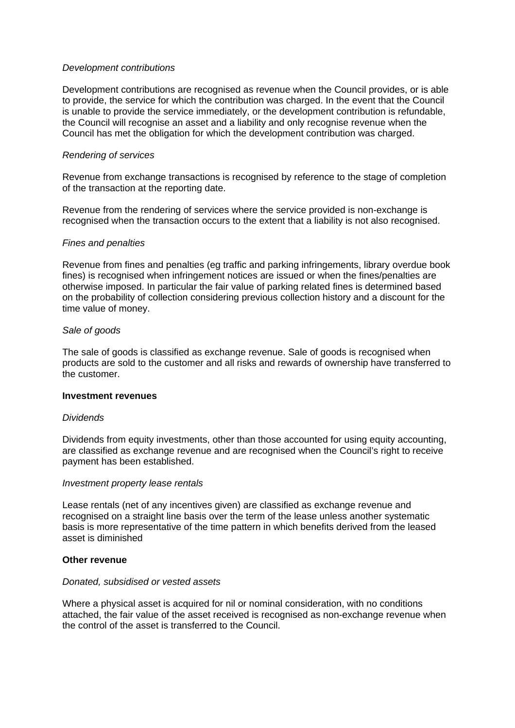## *Development contributions*

Development contributions are recognised as revenue when the Council provides, or is able to provide, the service for which the contribution was charged. In the event that the Council is unable to provide the service immediately, or the development contribution is refundable, the Council will recognise an asset and a liability and only recognise revenue when the Council has met the obligation for which the development contribution was charged.

## *Rendering of services*

Revenue from exchange transactions is recognised by reference to the stage of completion of the transaction at the reporting date.

Revenue from the rendering of services where the service provided is non-exchange is recognised when the transaction occurs to the extent that a liability is not also recognised.

## *Fines and penalties*

Revenue from fines and penalties (eg traffic and parking infringements, library overdue book fines) is recognised when infringement notices are issued or when the fines/penalties are otherwise imposed. In particular the fair value of parking related fines is determined based on the probability of collection considering previous collection history and a discount for the time value of money.

## *Sale of goods*

The sale of goods is classified as exchange revenue. Sale of goods is recognised when products are sold to the customer and all risks and rewards of ownership have transferred to the customer.

## **Investment revenues**

## *Dividends*

Dividends from equity investments, other than those accounted for using equity accounting, are classified as exchange revenue and are recognised when the Council's right to receive payment has been established.

## *Investment property lease rentals*

Lease rentals (net of any incentives given) are classified as exchange revenue and recognised on a straight line basis over the term of the lease unless another systematic basis is more representative of the time pattern in which benefits derived from the leased asset is diminished

## **Other revenue**

## *Donated, subsidised or vested assets*

Where a physical asset is acquired for nil or nominal consideration, with no conditions attached, the fair value of the asset received is recognised as non-exchange revenue when the control of the asset is transferred to the Council.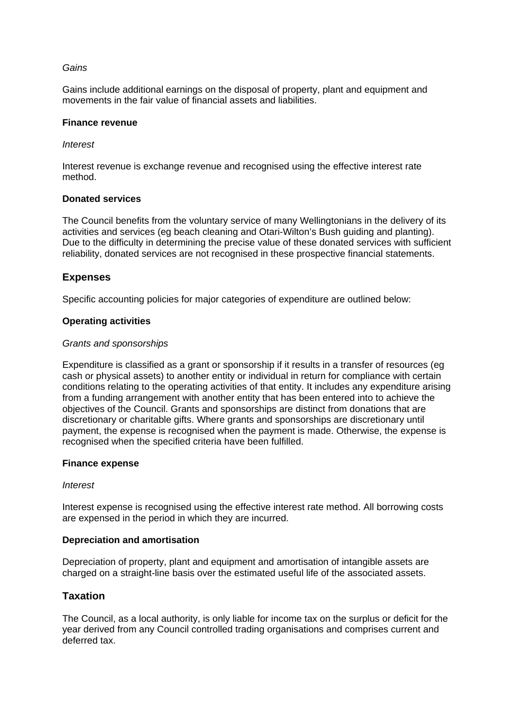## *Gains*

Gains include additional earnings on the disposal of property, plant and equipment and movements in the fair value of financial assets and liabilities.

## **Finance revenue**

## *Interest*

Interest revenue is exchange revenue and recognised using the effective interest rate method.

## **Donated services**

The Council benefits from the voluntary service of many Wellingtonians in the delivery of its activities and services (eg beach cleaning and Otari-Wilton's Bush guiding and planting). Due to the difficulty in determining the precise value of these donated services with sufficient reliability, donated services are not recognised in these prospective financial statements.

## **Expenses**

Specific accounting policies for major categories of expenditure are outlined below:

## **Operating activities**

## *Grants and sponsorships*

Expenditure is classified as a grant or sponsorship if it results in a transfer of resources (eg cash or physical assets) to another entity or individual in return for compliance with certain conditions relating to the operating activities of that entity. It includes any expenditure arising from a funding arrangement with another entity that has been entered into to achieve the objectives of the Council. Grants and sponsorships are distinct from donations that are discretionary or charitable gifts. Where grants and sponsorships are discretionary until payment, the expense is recognised when the payment is made. Otherwise, the expense is recognised when the specified criteria have been fulfilled.

## **Finance expense**

## *Interest*

Interest expense is recognised using the effective interest rate method. All borrowing costs are expensed in the period in which they are incurred.

## **Depreciation and amortisation**

Depreciation of property, plant and equipment and amortisation of intangible assets are charged on a straight-line basis over the estimated useful life of the associated assets.

## **Taxation**

The Council, as a local authority, is only liable for income tax on the surplus or deficit for the year derived from any Council controlled trading organisations and comprises current and deferred tax.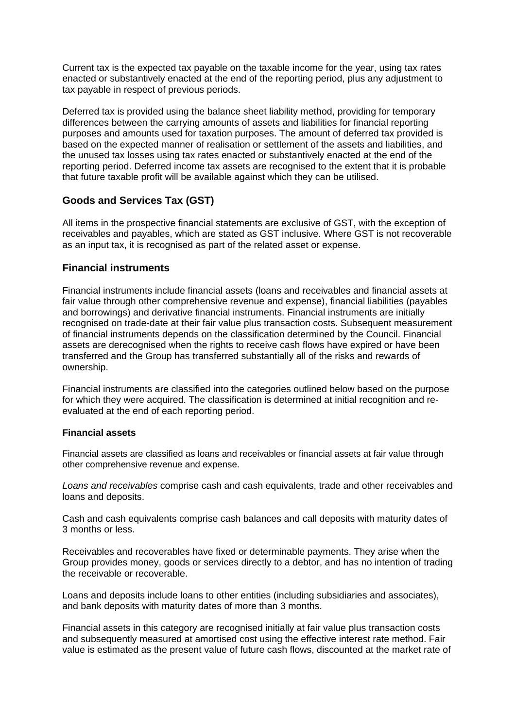Current tax is the expected tax payable on the taxable income for the year, using tax rates enacted or substantively enacted at the end of the reporting period, plus any adjustment to tax payable in respect of previous periods.

Deferred tax is provided using the balance sheet liability method, providing for temporary differences between the carrying amounts of assets and liabilities for financial reporting purposes and amounts used for taxation purposes. The amount of deferred tax provided is based on the expected manner of realisation or settlement of the assets and liabilities, and the unused tax losses using tax rates enacted or substantively enacted at the end of the reporting period. Deferred income tax assets are recognised to the extent that it is probable that future taxable profit will be available against which they can be utilised.

## **Goods and Services Tax (GST)**

All items in the prospective financial statements are exclusive of GST, with the exception of receivables and payables, which are stated as GST inclusive. Where GST is not recoverable as an input tax, it is recognised as part of the related asset or expense.

## **Financial instruments**

Financial instruments include financial assets (loans and receivables and financial assets at fair value through other comprehensive revenue and expense), financial liabilities (payables and borrowings) and derivative financial instruments. Financial instruments are initially recognised on trade-date at their fair value plus transaction costs. Subsequent measurement of financial instruments depends on the classification determined by the Council. Financial assets are derecognised when the rights to receive cash flows have expired or have been transferred and the Group has transferred substantially all of the risks and rewards of ownership.

Financial instruments are classified into the categories outlined below based on the purpose for which they were acquired. The classification is determined at initial recognition and reevaluated at the end of each reporting period.

## **Financial assets**

Financial assets are classified as loans and receivables or financial assets at fair value through other comprehensive revenue and expense.

*Loans and receivables* comprise cash and cash equivalents, trade and other receivables and loans and deposits.

Cash and cash equivalents comprise cash balances and call deposits with maturity dates of 3 months or less.

Receivables and recoverables have fixed or determinable payments. They arise when the Group provides money, goods or services directly to a debtor, and has no intention of trading the receivable or recoverable.

Loans and deposits include loans to other entities (including subsidiaries and associates), and bank deposits with maturity dates of more than 3 months.

Financial assets in this category are recognised initially at fair value plus transaction costs and subsequently measured at amortised cost using the effective interest rate method. Fair value is estimated as the present value of future cash flows, discounted at the market rate of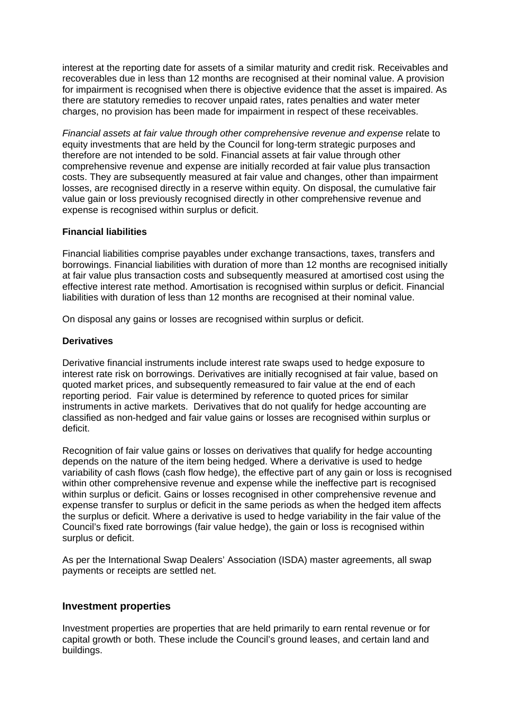interest at the reporting date for assets of a similar maturity and credit risk. Receivables and recoverables due in less than 12 months are recognised at their nominal value. A provision for impairment is recognised when there is objective evidence that the asset is impaired. As there are statutory remedies to recover unpaid rates, rates penalties and water meter charges, no provision has been made for impairment in respect of these receivables.

*Financial assets at fair value through other comprehensive revenue and expense* relate to equity investments that are held by the Council for long-term strategic purposes and therefore are not intended to be sold. Financial assets at fair value through other comprehensive revenue and expense are initially recorded at fair value plus transaction costs. They are subsequently measured at fair value and changes, other than impairment losses, are recognised directly in a reserve within equity. On disposal, the cumulative fair value gain or loss previously recognised directly in other comprehensive revenue and expense is recognised within surplus or deficit.

## **Financial liabilities**

Financial liabilities comprise payables under exchange transactions, taxes, transfers and borrowings. Financial liabilities with duration of more than 12 months are recognised initially at fair value plus transaction costs and subsequently measured at amortised cost using the effective interest rate method. Amortisation is recognised within surplus or deficit. Financial liabilities with duration of less than 12 months are recognised at their nominal value.

On disposal any gains or losses are recognised within surplus or deficit.

## **Derivatives**

Derivative financial instruments include interest rate swaps used to hedge exposure to interest rate risk on borrowings. Derivatives are initially recognised at fair value, based on quoted market prices, and subsequently remeasured to fair value at the end of each reporting period. Fair value is determined by reference to quoted prices for similar instruments in active markets. Derivatives that do not qualify for hedge accounting are classified as non-hedged and fair value gains or losses are recognised within surplus or deficit.

Recognition of fair value gains or losses on derivatives that qualify for hedge accounting depends on the nature of the item being hedged. Where a derivative is used to hedge variability of cash flows (cash flow hedge), the effective part of any gain or loss is recognised within other comprehensive revenue and expense while the ineffective part is recognised within surplus or deficit. Gains or losses recognised in other comprehensive revenue and expense transfer to surplus or deficit in the same periods as when the hedged item affects the surplus or deficit. Where a derivative is used to hedge variability in the fair value of the Council's fixed rate borrowings (fair value hedge), the gain or loss is recognised within surplus or deficit.

As per the International Swap Dealers' Association (ISDA) master agreements, all swap payments or receipts are settled net.

## **Investment properties**

Investment properties are properties that are held primarily to earn rental revenue or for capital growth or both. These include the Council's ground leases, and certain land and buildings.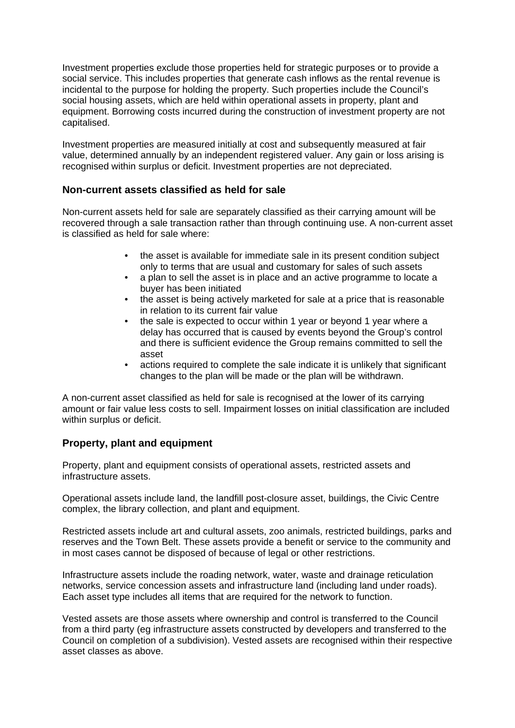Investment properties exclude those properties held for strategic purposes or to provide a social service. This includes properties that generate cash inflows as the rental revenue is incidental to the purpose for holding the property. Such properties include the Council's social housing assets, which are held within operational assets in property, plant and equipment. Borrowing costs incurred during the construction of investment property are not capitalised.

Investment properties are measured initially at cost and subsequently measured at fair value, determined annually by an independent registered valuer. Any gain or loss arising is recognised within surplus or deficit. Investment properties are not depreciated.

## **Non-current assets classified as held for sale**

Non-current assets held for sale are separately classified as their carrying amount will be recovered through a sale transaction rather than through continuing use. A non-current asset is classified as held for sale where:

- the asset is available for immediate sale in its present condition subject only to terms that are usual and customary for sales of such assets
- a plan to sell the asset is in place and an active programme to locate a buyer has been initiated
- the asset is being actively marketed for sale at a price that is reasonable in relation to its current fair value
- the sale is expected to occur within 1 year or beyond 1 year where a delay has occurred that is caused by events beyond the Group's control and there is sufficient evidence the Group remains committed to sell the asset
- actions required to complete the sale indicate it is unlikely that significant changes to the plan will be made or the plan will be withdrawn.

A non-current asset classified as held for sale is recognised at the lower of its carrying amount or fair value less costs to sell. Impairment losses on initial classification are included within surplus or deficit.

## **Property, plant and equipment**

Property, plant and equipment consists of operational assets, restricted assets and infrastructure assets.

Operational assets include land, the landfill post-closure asset, buildings, the Civic Centre complex, the library collection, and plant and equipment.

Restricted assets include art and cultural assets, zoo animals, restricted buildings, parks and reserves and the Town Belt. These assets provide a benefit or service to the community and in most cases cannot be disposed of because of legal or other restrictions.

Infrastructure assets include the roading network, water, waste and drainage reticulation networks, service concession assets and infrastructure land (including land under roads). Each asset type includes all items that are required for the network to function.

Vested assets are those assets where ownership and control is transferred to the Council from a third party (eg infrastructure assets constructed by developers and transferred to the Council on completion of a subdivision). Vested assets are recognised within their respective asset classes as above.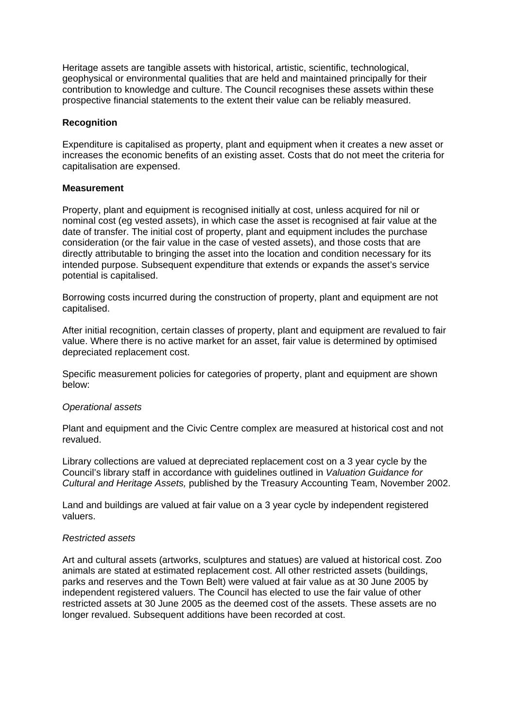Heritage assets are tangible assets with historical, artistic, scientific, technological, geophysical or environmental qualities that are held and maintained principally for their contribution to knowledge and culture. The Council recognises these assets within these prospective financial statements to the extent their value can be reliably measured.

## **Recognition**

Expenditure is capitalised as property, plant and equipment when it creates a new asset or increases the economic benefits of an existing asset. Costs that do not meet the criteria for capitalisation are expensed.

## **Measurement**

Property, plant and equipment is recognised initially at cost, unless acquired for nil or nominal cost (eg vested assets), in which case the asset is recognised at fair value at the date of transfer. The initial cost of property, plant and equipment includes the purchase consideration (or the fair value in the case of vested assets), and those costs that are directly attributable to bringing the asset into the location and condition necessary for its intended purpose. Subsequent expenditure that extends or expands the asset's service potential is capitalised.

Borrowing costs incurred during the construction of property, plant and equipment are not capitalised.

After initial recognition, certain classes of property, plant and equipment are revalued to fair value. Where there is no active market for an asset, fair value is determined by optimised depreciated replacement cost.

Specific measurement policies for categories of property, plant and equipment are shown below:

## *Operational assets*

Plant and equipment and the Civic Centre complex are measured at historical cost and not revalued.

Library collections are valued at depreciated replacement cost on a 3 year cycle by the Council's library staff in accordance with guidelines outlined in *Valuation Guidance for Cultural and Heritage Assets,* published by the Treasury Accounting Team, November 2002.

Land and buildings are valued at fair value on a 3 year cycle by independent registered valuers.

## *Restricted assets*

Art and cultural assets (artworks, sculptures and statues) are valued at historical cost. Zoo animals are stated at estimated replacement cost. All other restricted assets (buildings, parks and reserves and the Town Belt) were valued at fair value as at 30 June 2005 by independent registered valuers. The Council has elected to use the fair value of other restricted assets at 30 June 2005 as the deemed cost of the assets. These assets are no longer revalued. Subsequent additions have been recorded at cost.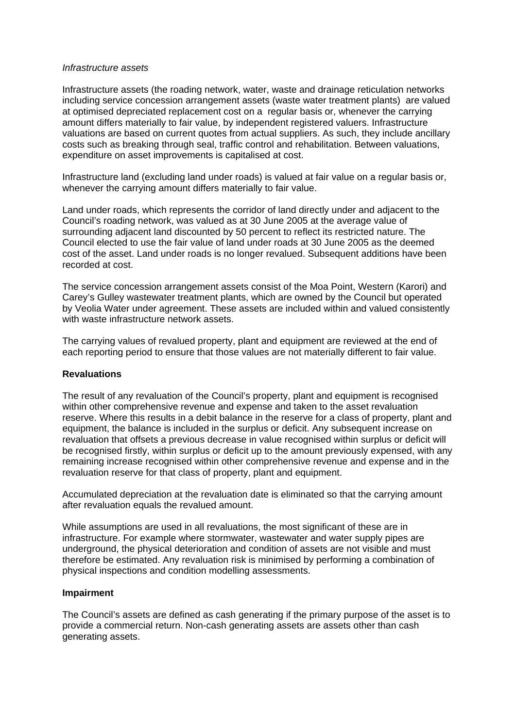#### *Infrastructure assets*

Infrastructure assets (the roading network, water, waste and drainage reticulation networks including service concession arrangement assets (waste water treatment plants) are valued at optimised depreciated replacement cost on a regular basis or, whenever the carrying amount differs materially to fair value, by independent registered valuers. Infrastructure valuations are based on current quotes from actual suppliers. As such, they include ancillary costs such as breaking through seal, traffic control and rehabilitation. Between valuations, expenditure on asset improvements is capitalised at cost.

Infrastructure land (excluding land under roads) is valued at fair value on a regular basis or, whenever the carrying amount differs materially to fair value.

Land under roads, which represents the corridor of land directly under and adjacent to the Council's roading network, was valued as at 30 June 2005 at the average value of surrounding adjacent land discounted by 50 percent to reflect its restricted nature. The Council elected to use the fair value of land under roads at 30 June 2005 as the deemed cost of the asset. Land under roads is no longer revalued. Subsequent additions have been recorded at cost.

The service concession arrangement assets consist of the Moa Point, Western (Karori) and Carey's Gulley wastewater treatment plants, which are owned by the Council but operated by Veolia Water under agreement. These assets are included within and valued consistently with waste infrastructure network assets.

The carrying values of revalued property, plant and equipment are reviewed at the end of each reporting period to ensure that those values are not materially different to fair value.

## **Revaluations**

The result of any revaluation of the Council's property, plant and equipment is recognised within other comprehensive revenue and expense and taken to the asset revaluation reserve. Where this results in a debit balance in the reserve for a class of property, plant and equipment, the balance is included in the surplus or deficit. Any subsequent increase on revaluation that offsets a previous decrease in value recognised within surplus or deficit will be recognised firstly, within surplus or deficit up to the amount previously expensed, with any remaining increase recognised within other comprehensive revenue and expense and in the revaluation reserve for that class of property, plant and equipment.

Accumulated depreciation at the revaluation date is eliminated so that the carrying amount after revaluation equals the revalued amount.

While assumptions are used in all revaluations, the most significant of these are in infrastructure. For example where stormwater, wastewater and water supply pipes are underground, the physical deterioration and condition of assets are not visible and must therefore be estimated. Any revaluation risk is minimised by performing a combination of physical inspections and condition modelling assessments.

## **Impairment**

The Council's assets are defined as cash generating if the primary purpose of the asset is to provide a commercial return. Non-cash generating assets are assets other than cash generating assets.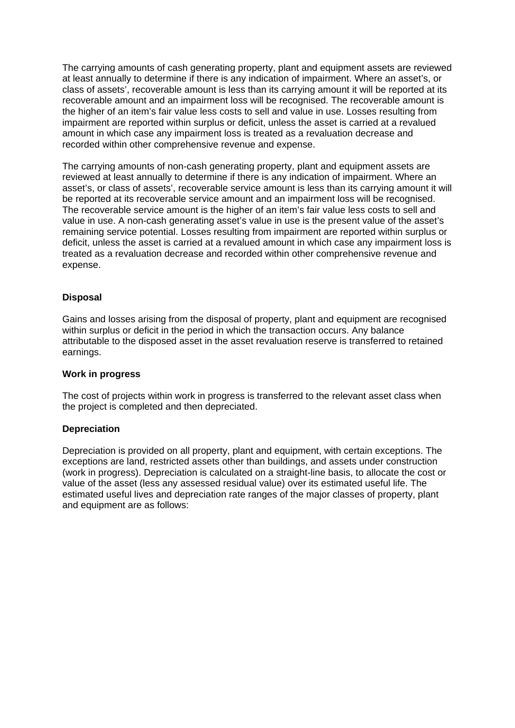The carrying amounts of cash generating property, plant and equipment assets are reviewed at least annually to determine if there is any indication of impairment. Where an asset's, or class of assets', recoverable amount is less than its carrying amount it will be reported at its recoverable amount and an impairment loss will be recognised. The recoverable amount is the higher of an item's fair value less costs to sell and value in use. Losses resulting from impairment are reported within surplus or deficit, unless the asset is carried at a revalued amount in which case any impairment loss is treated as a revaluation decrease and recorded within other comprehensive revenue and expense.

The carrying amounts of non-cash generating property, plant and equipment assets are reviewed at least annually to determine if there is any indication of impairment. Where an asset's, or class of assets', recoverable service amount is less than its carrying amount it will be reported at its recoverable service amount and an impairment loss will be recognised. The recoverable service amount is the higher of an item's fair value less costs to sell and value in use. A non-cash generating asset's value in use is the present value of the asset's remaining service potential. Losses resulting from impairment are reported within surplus or deficit, unless the asset is carried at a revalued amount in which case any impairment loss is treated as a revaluation decrease and recorded within other comprehensive revenue and expense.

## **Disposal**

Gains and losses arising from the disposal of property, plant and equipment are recognised within surplus or deficit in the period in which the transaction occurs. Any balance attributable to the disposed asset in the asset revaluation reserve is transferred to retained earnings.

## **Work in progress**

The cost of projects within work in progress is transferred to the relevant asset class when the project is completed and then depreciated.

## **Depreciation**

Depreciation is provided on all property, plant and equipment, with certain exceptions. The exceptions are land, restricted assets other than buildings, and assets under construction (work in progress). Depreciation is calculated on a straight-line basis, to allocate the cost or value of the asset (less any assessed residual value) over its estimated useful life. The estimated useful lives and depreciation rate ranges of the major classes of property, plant and equipment are as follows: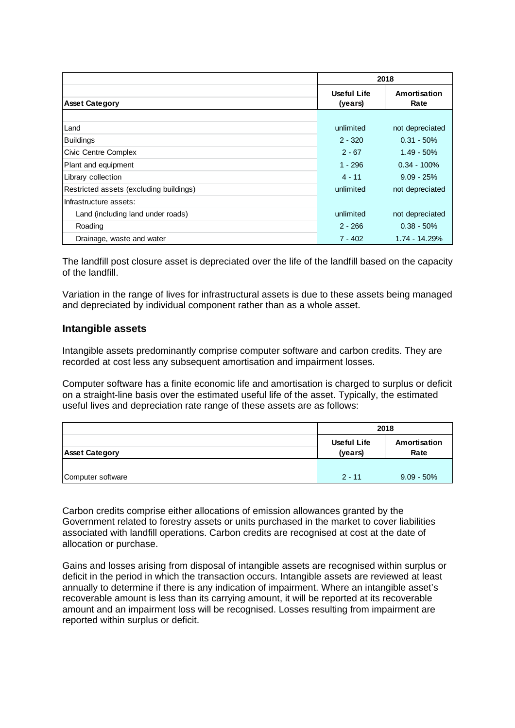|                                         | 2018                          |                      |
|-----------------------------------------|-------------------------------|----------------------|
| <b>Asset Category</b>                   | <b>Useful Life</b><br>(years) | Amortisation<br>Rate |
|                                         |                               |                      |
| Land                                    | unlimited                     | not depreciated      |
| <b>Buildings</b>                        | $2 - 320$                     | $0.31 - 50%$         |
| Civic Centre Complex                    | $2 - 67$                      | $1.49 - 50%$         |
| Plant and equipment                     | $1 - 296$                     | $0.34 - 100\%$       |
| Library collection                      | $4 - 11$                      | $9.09 - 25%$         |
| Restricted assets (excluding buildings) | unlimited                     | not depreciated      |
| Infrastructure assets:                  |                               |                      |
| Land (including land under roads)       | unlimited                     | not depreciated      |
| Roading                                 | $2 - 266$                     | $0.38 - 50%$         |
| Drainage, waste and water               | $7 - 402$                     | 1.74 - 14.29%        |

The landfill post closure asset is depreciated over the life of the landfill based on the capacity of the landfill.

Variation in the range of lives for infrastructural assets is due to these assets being managed and depreciated by individual component rather than as a whole asset.

## **Intangible assets**

Intangible assets predominantly comprise computer software and carbon credits. They are recorded at cost less any subsequent amortisation and impairment losses.

Computer software has a finite economic life and amortisation is charged to surplus or deficit on a straight-line basis over the estimated useful life of the asset. Typically, the estimated useful lives and depreciation rate range of these assets are as follows:

|                       | 2018                          |                      |
|-----------------------|-------------------------------|----------------------|
| <b>Asset Category</b> | <b>Useful Life</b><br>(years) | Amortisation<br>Rate |
|                       |                               |                      |
| Computer software     | $2 - 11$                      | $9.09 - 50\%$        |

Carbon credits comprise either allocations of emission allowances granted by the Government related to forestry assets or units purchased in the market to cover liabilities associated with landfill operations. Carbon credits are recognised at cost at the date of allocation or purchase.

Gains and losses arising from disposal of intangible assets are recognised within surplus or deficit in the period in which the transaction occurs. Intangible assets are reviewed at least annually to determine if there is any indication of impairment. Where an intangible asset's recoverable amount is less than its carrying amount, it will be reported at its recoverable amount and an impairment loss will be recognised. Losses resulting from impairment are reported within surplus or deficit.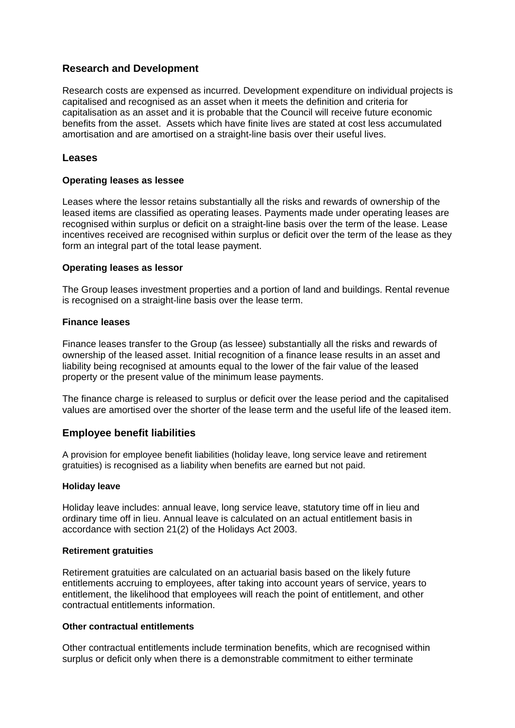## **Research and Development**

Research costs are expensed as incurred. Development expenditure on individual projects is capitalised and recognised as an asset when it meets the definition and criteria for capitalisation as an asset and it is probable that the Council will receive future economic benefits from the asset. Assets which have finite lives are stated at cost less accumulated amortisation and are amortised on a straight-line basis over their useful lives.

## **Leases**

## **Operating leases as lessee**

Leases where the lessor retains substantially all the risks and rewards of ownership of the leased items are classified as operating leases. Payments made under operating leases are recognised within surplus or deficit on a straight-line basis over the term of the lease. Lease incentives received are recognised within surplus or deficit over the term of the lease as they form an integral part of the total lease payment.

## **Operating leases as lessor**

The Group leases investment properties and a portion of land and buildings. Rental revenue is recognised on a straight-line basis over the lease term.

## **Finance leases**

Finance leases transfer to the Group (as lessee) substantially all the risks and rewards of ownership of the leased asset. Initial recognition of a finance lease results in an asset and liability being recognised at amounts equal to the lower of the fair value of the leased property or the present value of the minimum lease payments.

The finance charge is released to surplus or deficit over the lease period and the capitalised values are amortised over the shorter of the lease term and the useful life of the leased item.

## **Employee benefit liabilities**

A provision for employee benefit liabilities (holiday leave, long service leave and retirement gratuities) is recognised as a liability when benefits are earned but not paid.

## **Holiday leave**

Holiday leave includes: annual leave, long service leave, statutory time off in lieu and ordinary time off in lieu. Annual leave is calculated on an actual entitlement basis in accordance with section 21(2) of the Holidays Act 2003.

## **Retirement gratuities**

Retirement gratuities are calculated on an actuarial basis based on the likely future entitlements accruing to employees, after taking into account years of service, years to entitlement, the likelihood that employees will reach the point of entitlement, and other contractual entitlements information.

## **Other contractual entitlements**

Other contractual entitlements include termination benefits, which are recognised within surplus or deficit only when there is a demonstrable commitment to either terminate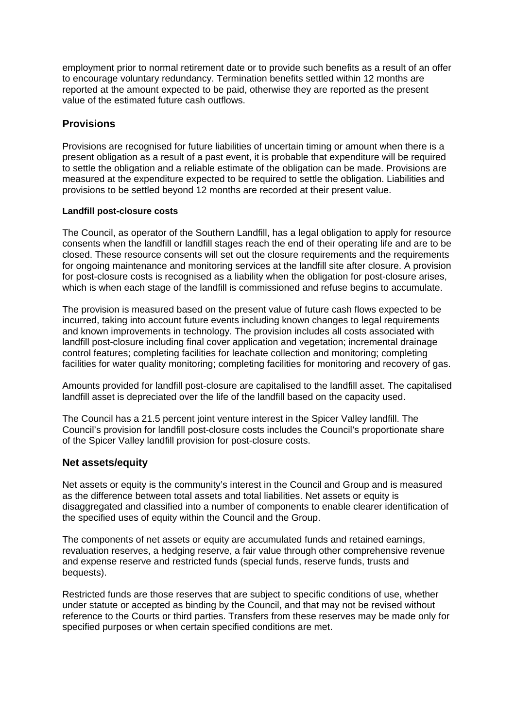employment prior to normal retirement date or to provide such benefits as a result of an offer to encourage voluntary redundancy. Termination benefits settled within 12 months are reported at the amount expected to be paid, otherwise they are reported as the present value of the estimated future cash outflows.

## **Provisions**

Provisions are recognised for future liabilities of uncertain timing or amount when there is a present obligation as a result of a past event, it is probable that expenditure will be required to settle the obligation and a reliable estimate of the obligation can be made. Provisions are measured at the expenditure expected to be required to settle the obligation. Liabilities and provisions to be settled beyond 12 months are recorded at their present value.

## **Landfill post-closure costs**

The Council, as operator of the Southern Landfill, has a legal obligation to apply for resource consents when the landfill or landfill stages reach the end of their operating life and are to be closed. These resource consents will set out the closure requirements and the requirements for ongoing maintenance and monitoring services at the landfill site after closure. A provision for post-closure costs is recognised as a liability when the obligation for post-closure arises, which is when each stage of the landfill is commissioned and refuse begins to accumulate.

The provision is measured based on the present value of future cash flows expected to be incurred, taking into account future events including known changes to legal requirements and known improvements in technology. The provision includes all costs associated with landfill post-closure including final cover application and vegetation; incremental drainage control features; completing facilities for leachate collection and monitoring; completing facilities for water quality monitoring; completing facilities for monitoring and recovery of gas.

Amounts provided for landfill post-closure are capitalised to the landfill asset. The capitalised landfill asset is depreciated over the life of the landfill based on the capacity used.

The Council has a 21.5 percent joint venture interest in the Spicer Valley landfill. The Council's provision for landfill post-closure costs includes the Council's proportionate share of the Spicer Valley landfill provision for post-closure costs.

## **Net assets/equity**

Net assets or equity is the community's interest in the Council and Group and is measured as the difference between total assets and total liabilities. Net assets or equity is disaggregated and classified into a number of components to enable clearer identification of the specified uses of equity within the Council and the Group.

The components of net assets or equity are accumulated funds and retained earnings, revaluation reserves, a hedging reserve, a fair value through other comprehensive revenue and expense reserve and restricted funds (special funds, reserve funds, trusts and bequests).

Restricted funds are those reserves that are subject to specific conditions of use, whether under statute or accepted as binding by the Council, and that may not be revised without reference to the Courts or third parties. Transfers from these reserves may be made only for specified purposes or when certain specified conditions are met.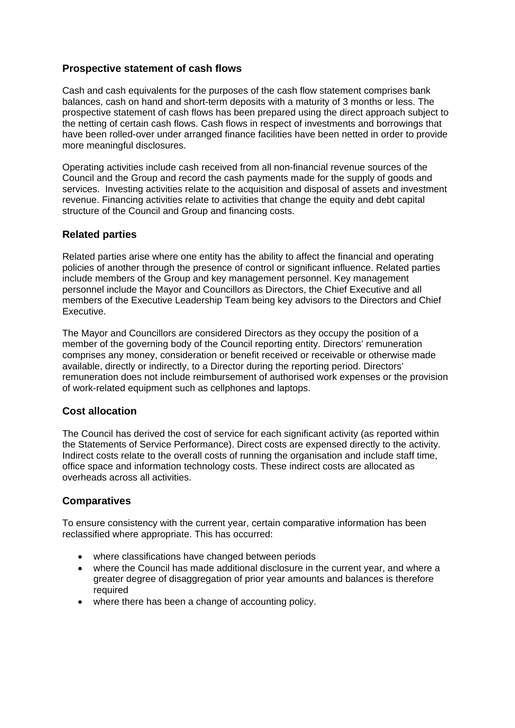## **Prospective statement of cash flows**

Cash and cash equivalents for the purposes of the cash flow statement comprises bank balances, cash on hand and short-term deposits with a maturity of 3 months or less. The prospective statement of cash flows has been prepared using the direct approach subject to the netting of certain cash flows. Cash flows in respect of investments and borrowings that have been rolled-over under arranged finance facilities have been netted in order to provide more meaningful disclosures.

Operating activities include cash received from all non-financial revenue sources of the Council and the Group and record the cash payments made for the supply of goods and services. Investing activities relate to the acquisition and disposal of assets and investment revenue. Financing activities relate to activities that change the equity and debt capital structure of the Council and Group and financing costs.

## **Related parties**

Related parties arise where one entity has the ability to affect the financial and operating policies of another through the presence of control or significant influence. Related parties include members of the Group and key management personnel. Key management personnel include the Mayor and Councillors as Directors, the Chief Executive and all members of the Executive Leadership Team being key advisors to the Directors and Chief Executive.

The Mayor and Councillors are considered Directors as they occupy the position of a member of the governing body of the Council reporting entity. Directors' remuneration comprises any money, consideration or benefit received or receivable or otherwise made available, directly or indirectly, to a Director during the reporting period. Directors' remuneration does not include reimbursement of authorised work expenses or the provision of work-related equipment such as cellphones and laptops.

## **Cost allocation**

The Council has derived the cost of service for each significant activity (as reported within the Statements of Service Performance). Direct costs are expensed directly to the activity. Indirect costs relate to the overall costs of running the organisation and include staff time, office space and information technology costs. These indirect costs are allocated as overheads across all activities.

## **Comparatives**

To ensure consistency with the current year, certain comparative information has been reclassified where appropriate. This has occurred:

- where classifications have changed between periods
- where the Council has made additional disclosure in the current year, and where a greater degree of disaggregation of prior year amounts and balances is therefore required
- where there has been a change of accounting policy.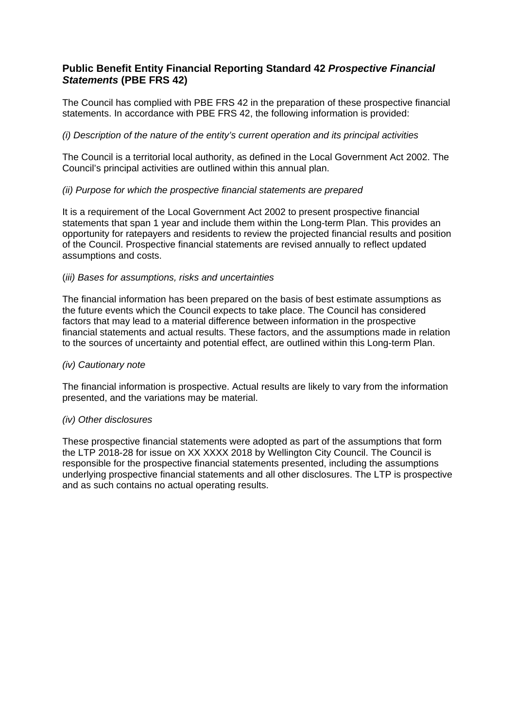## **Public Benefit Entity Financial Reporting Standard 42** *Prospective Financial Statements* **(PBE FRS 42)**

The Council has complied with PBE FRS 42 in the preparation of these prospective financial statements. In accordance with PBE FRS 42, the following information is provided:

## *(i) Description of the nature of the entity's current operation and its principal activities*

The Council is a territorial local authority, as defined in the Local Government Act 2002. The Council's principal activities are outlined within this annual plan.

## *(ii) Purpose for which the prospective financial statements are prepared*

It is a requirement of the Local Government Act 2002 to present prospective financial statements that span 1 year and include them within the Long-term Plan. This provides an opportunity for ratepayers and residents to review the projected financial results and position of the Council. Prospective financial statements are revised annually to reflect updated assumptions and costs.

## (*iii) Bases for assumptions, risks and uncertainties*

The financial information has been prepared on the basis of best estimate assumptions as the future events which the Council expects to take place. The Council has considered factors that may lead to a material difference between information in the prospective financial statements and actual results. These factors, and the assumptions made in relation to the sources of uncertainty and potential effect, are outlined within this Long-term Plan.

## *(iv) Cautionary note*

The financial information is prospective. Actual results are likely to vary from the information presented, and the variations may be material.

## *(iv) Other disclosures*

These prospective financial statements were adopted as part of the assumptions that form the LTP 2018-28 for issue on XX XXXX 2018 by Wellington City Council. The Council is responsible for the prospective financial statements presented, including the assumptions underlying prospective financial statements and all other disclosures. The LTP is prospective and as such contains no actual operating results.